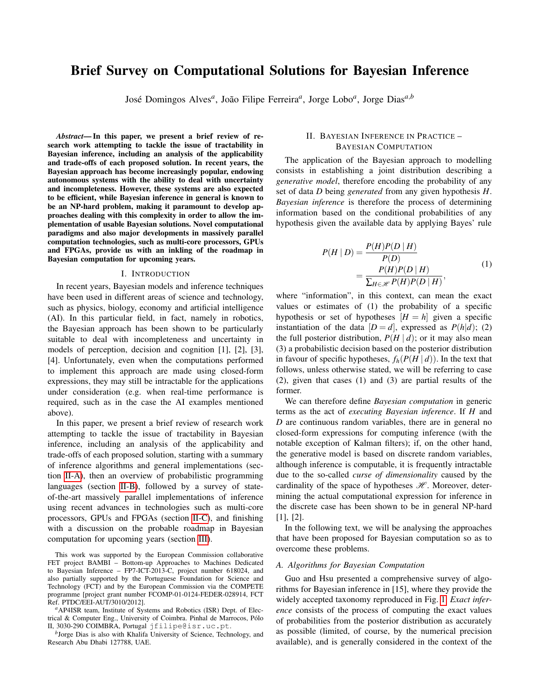# Brief Survey on Computational Solutions for Bayesian Inference

José Domingos Alves*<sup>a</sup>* , João Filipe Ferreira*<sup>a</sup>* , Jorge Lobo*<sup>a</sup>* , Jorge Dias*a*,*<sup>b</sup>*

*Abstract*— In this paper, we present a brief review of research work attempting to tackle the issue of tractability in Bayesian inference, including an analysis of the applicability and trade-offs of each proposed solution. In recent years, the Bayesian approach has become increasingly popular, endowing autonomous systems with the ability to deal with uncertainty and incompleteness. However, these systems are also expected to be efficient, while Bayesian inference in general is known to be an NP-hard problem, making it paramount to develop approaches dealing with this complexity in order to allow the implementation of usable Bayesian solutions. Novel computational paradigms and also major developments in massively parallel computation technologies, such as multi-core processors, GPUs and FPGAs, provide us with an inkling of the roadmap in Bayesian computation for upcoming years.

#### I. INTRODUCTION

In recent years, Bayesian models and inference techniques have been used in different areas of science and technology, such as physics, biology, economy and artificial intelligence (AI). In this particular field, in fact, namely in robotics, the Bayesian approach has been shown to be particularly suitable to deal with incompleteness and uncertainty in models of perception, decision and cognition [1], [2], [3], [4]. Unfortunately, even when the computations performed to implement this approach are made using closed-form expressions, they may still be intractable for the applications under consideration (e.g. when real-time performance is required, such as in the case the AI examples mentioned above).

In this paper, we present a brief review of research work attempting to tackle the issue of tractability in Bayesian inference, including an analysis of the applicability and trade-offs of each proposed solution, starting with a summary of inference algorithms and general implementations (section [II-A\)](#page-0-0), then an overview of probabilistic programming languages (section [II-B\)](#page-1-0), followed by a survey of stateof-the-art massively parallel implementations of inference using recent advances in technologies such as multi-core processors, GPUs and FPGAs (section [II-C\)](#page-2-0), and finishing with a discussion on the probable roadmap in Bayesian computation for upcoming years (section [III\)](#page-3-0).

This work was supported by the European Commission collaborative FET project BAMBI – Bottom-up Approaches to Machines Dedicated to Bayesian Inference – FP7-ICT-2013-C, project number 618024, and also partially supported by the Portuguese Foundation for Science and Technology (FCT) and by the European Commission via the COMPETE programme [project grant number FCOMP-01-0124-FEDER-028914, FCT Ref. PTDC/EEI-AUT/3010/2012].

*<sup>a</sup>*AP4ISR team, Institute of Systems and Robotics (ISR) Dept. of Electrical & Computer Eng., University of Coimbra. Pinhal de Marrocos, Pólo II, 3030-290 COIMBRA, Portugal jfilipe@isr.uc.pt.

*b* Jorge Dias is also with Khalifa University of Science, Technology, and Research Abu Dhabi 127788, UAE.

# II. BAYESIAN INFERENCE IN PRACTICE – BAYESIAN COMPUTATION

The application of the Bayesian approach to modelling consists in establishing a joint distribution describing a *generative model*, therefore encoding the probability of any set of data *D* being *generated* from any given hypothesis *H*. *Bayesian inference* is therefore the process of determining information based on the conditional probabilities of any hypothesis given the available data by applying Bayes' rule

$$
P(H | D) = \frac{P(H)P(D | H)}{P(D)}
$$
  
= 
$$
\frac{P(H)P(D | H)}{\sum_{H \in \mathcal{H}} P(H)P(D | H)},
$$
 (1)

<span id="page-0-1"></span>where "information", in this context, can mean the exact values or estimates of (1) the probability of a specific hypothesis or set of hypotheses  $[H = h]$  given a specific instantiation of the data  $[D = d]$ , expressed as  $P(h|d)$ ; (2) the full posterior distribution,  $P(H | d)$ ; or it may also mean (3) a probabilistic decision based on the posterior distribution in favour of specific hypotheses,  $f_h(P(H | d))$ . In the text that follows, unless otherwise stated, we will be referring to case (2), given that cases (1) and (3) are partial results of the former.

We can therefore define *Bayesian computation* in generic terms as the act of *executing Bayesian inference*. If *H* and *D* are continuous random variables, there are in general no closed-form expressions for computing inference (with the notable exception of Kalman filters); if, on the other hand, the generative model is based on discrete random variables, although inference is computable, it is frequently intractable due to the so-called *curse of dimensionality* caused by the cardinality of the space of hypotheses  $\mathcal{H}$ . Moreover, determining the actual computational expression for inference in the discrete case has been shown to be in general NP-hard [1], [2].

In the following text, we will be analysing the approaches that have been proposed for Bayesian computation so as to overcome these problems.

## <span id="page-0-0"></span>*A. Algorithms for Bayesian Computation*

Guo and Hsu presented a comprehensive survey of algorithms for Bayesian inference in [15], where they provide the widely accepted taxonomy reproduced in Fig. [1.](#page-1-1) *Exact inference* consists of the process of computing the exact values of probabilities from the posterior distribution as accurately as possible (limited, of course, by the numerical precision available), and is generally considered in the context of the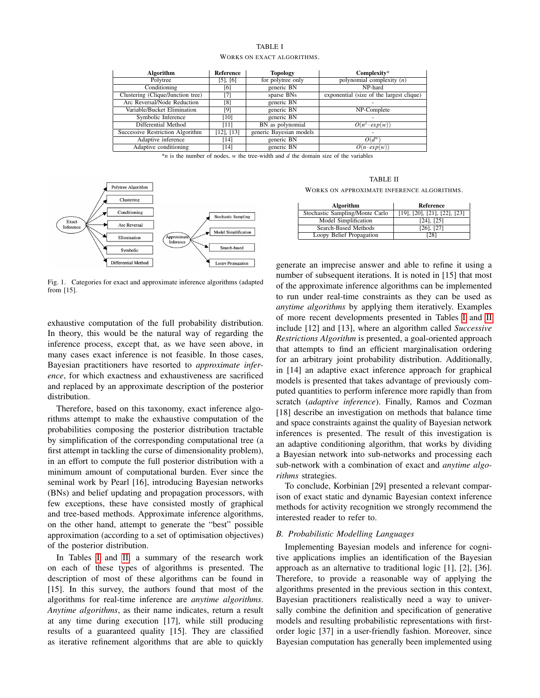### TABLE I WORKS ON EXACT ALGORITHMS.

<span id="page-1-2"></span>

|          | <b>Algorithm</b>                  | Reference          | <b>Topology</b>         | Complexity*                              |
|----------|-----------------------------------|--------------------|-------------------------|------------------------------------------|
| Polytree |                                   | $[5]$ , $[6]$      | for polytree only       | polynomial complexity $(n)$              |
|          | Conditioning                      | [6]                | generic BN              | NP-hard                                  |
|          | Clustering (Clique/Junction tree) | [7]                | sparse BNs              | exponential (size of the largest clique) |
|          | Arc Reversal/Node Reduction       | [8]                | generic BN              |                                          |
|          | Variable/Bucket Elimination       | [9]                | generic BN              | NP-Complete                              |
|          | Symbolic Inference                | $\lceil 10 \rceil$ | generic BN              |                                          |
|          | Differential Method               | [11]               | BN as polynomial        | $O(n^2 \cdot exp(w))$                    |
|          | Successive Restriction Algorithm  | $[12]$ , $[13]$    | generic Bayesian models |                                          |
|          | Adaptive inference                | [14]               | generic BN              | $O(d^w)$                                 |
|          | Adaptive conditioning             | [14]               | generic BN              | $O(n \cdot exp(w))$                      |

 $*$ *n* is the number of nodes, *w* the tree-width and  $d$  the domain size of the variables



<span id="page-1-1"></span>Fig. 1. Categories for exact and approximate inference algorithms (adapted from [15].

exhaustive computation of the full probability distribution. In theory, this would be the natural way of regarding the inference process, except that, as we have seen above, in many cases exact inference is not feasible. In those cases, Bayesian practitioners have resorted to *approximate inference*, for which exactness and exhaustiveness are sacrificed and replaced by an approximate description of the posterior distribution.

Therefore, based on this taxonomy, exact inference algorithms attempt to make the exhaustive computation of the probabilities composing the posterior distribution tractable by simplification of the corresponding computational tree (a first attempt in tackling the curse of dimensionality problem), in an effort to compute the full posterior distribution with a minimum amount of computational burden. Ever since the seminal work by Pearl [16], introducing Bayesian networks (BNs) and belief updating and propagation processors, with few exceptions, these have consisted mostly of graphical and tree-based methods. Approximate inference algorithms, on the other hand, attempt to generate the "best" possible approximation (according to a set of optimisation objectives) of the posterior distribution.

In Tables [I](#page-1-2) and [II,](#page-1-3) a summary of the research work on each of these types of algorithms is presented. The description of most of these algorithms can be found in [15]. In this survey, the authors found that most of the algorithms for real-time inference are *anytime algorithms*. *Anytime algorithms*, as their name indicates, return a result at any time during execution [17], while still producing results of a guaranteed quality [15]. They are classified as iterative refinement algorithms that are able to quickly

TABLE II WORKS ON APPROXIMATE INFERENCE ALGORITHMS.

<span id="page-1-3"></span>

| Algorithm                       | Reference                                  |  |  |
|---------------------------------|--------------------------------------------|--|--|
| Stochastic Sampling/Monte Carlo | $[19]$ , $[20]$ , $[21]$ , $[22]$ , $[23]$ |  |  |
| Model Simplification            | $[24]$ , $[25]$                            |  |  |
| Search-Based Methods            | $[26]$ , $[27]$                            |  |  |
| Loopy Belief Propagation        | $^{\circ}281$                              |  |  |

generate an imprecise answer and able to refine it using a number of subsequent iterations. It is noted in [15] that most of the approximate inference algorithms can be implemented to run under real-time constraints as they can be used as *anytime algorithms* by applying them iteratively. Examples of more recent developments presented in Tables [I](#page-1-2) and [II](#page-1-3) include [12] and [13], where an algorithm called *Successive Restrictions Algorithm* is presented, a goal-oriented approach that attempts to find an efficient marginalisation ordering for an arbitrary joint probability distribution. Additionally, in [14] an adaptive exact inference approach for graphical models is presented that takes advantage of previously computed quantities to perform inference more rapidly than from scratch (*adaptive inference*). Finally, Ramos and Cozman [18] describe an investigation on methods that balance time and space constraints against the quality of Bayesian network inferences is presented. The result of this investigation is an adaptive conditioning algorithm, that works by dividing a Bayesian network into sub-networks and processing each sub-network with a combination of exact and *anytime algorithms* strategies.

To conclude, Korbinian [29] presented a relevant comparison of exact static and dynamic Bayesian context inference methods for activity recognition we strongly recommend the interested reader to refer to.

## <span id="page-1-0"></span>*B. Probabilistic Modelling Languages*

Implementing Bayesian models and inference for cognitive applications implies an identification of the Bayesian approach as an alternative to traditional logic [1], [2], [36]. Therefore, to provide a reasonable way of applying the algorithms presented in the previous section in this context, Bayesian practitioners realistically need a way to universally combine the definition and specification of generative models and resulting probabilistic representations with firstorder logic [37] in a user-friendly fashion. Moreover, since Bayesian computation has generally been implemented using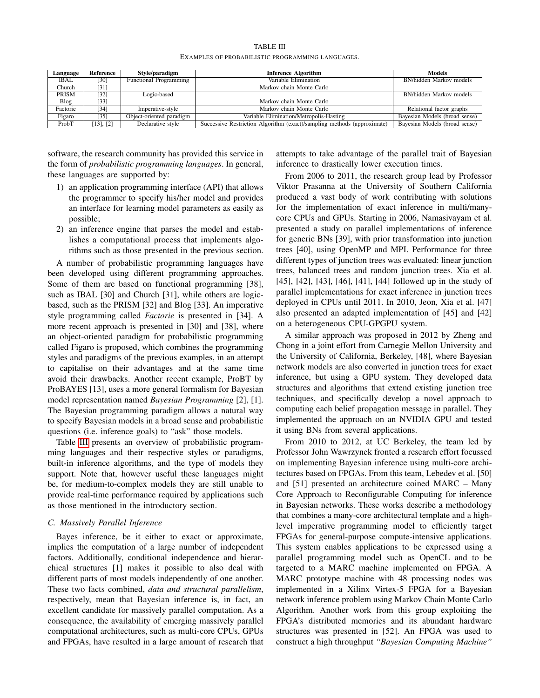| TABLE III                                        |
|--------------------------------------------------|
| EXAMPLES OF PROBABILISTIC PROGRAMMING LANGUAGES. |

<span id="page-2-1"></span>

| Language    | Reference         | Style/paradigm                | <b>Inference Algorithm</b>                                              | <b>Models</b>                 |
|-------------|-------------------|-------------------------------|-------------------------------------------------------------------------|-------------------------------|
| <b>IBAL</b> | [30]              | <b>Functional Programming</b> | Variable Elimination                                                    | BN/hidden Markov models       |
| Church      | [31]              |                               | Markov chain Monte Carlo                                                |                               |
| PRISM       | [32]              | Logic-based                   |                                                                         | BN/hidden Markov models       |
| Blog        | $\left[33\right]$ |                               | Markov chain Monte Carlo                                                |                               |
| Factorie    | [34]              | Imperative-style              | Markov chain Monte Carlo                                                | Relational factor graphs      |
| Figaro      | [35]              | Object-oriented paradigm      | Variable Elimination/Metropolis-Hasting                                 | Bayesian Models (broad sense) |
| ProbT       | $[13]$ , $[2]$    | Declarative style             | Successive Restriction Algorithm (exact)/sampling methods (approximate) | Bayesian Models (broad sense) |

software, the research community has provided this service in the form of *probabilistic programming languages*. In general, these languages are supported by:

- 1) an application programming interface (API) that allows the programmer to specify his/her model and provides an interface for learning model parameters as easily as possible;
- 2) an inference engine that parses the model and establishes a computational process that implements algorithms such as those presented in the previous section.

A number of probabilistic programming languages have been developed using different programming approaches. Some of them are based on functional programming [38], such as IBAL [30] and Church [31], while others are logicbased, such as the PRISM [32] and Blog [33]. An imperative style programming called *Factorie* is presented in [34]. A more recent approach is presented in [30] and [38], where an object-oriented paradigm for probabilistic programming called Figaro is proposed, which combines the programming styles and paradigms of the previous examples, in an attempt to capitalise on their advantages and at the same time avoid their drawbacks. Another recent example, ProBT by ProBAYES [13], uses a more general formalism for Bayesian model representation named *Bayesian Programming* [2], [1]. The Bayesian programming paradigm allows a natural way to specify Bayesian models in a broad sense and probabilistic questions (i.e. inference goals) to "ask" those models.

Table [III](#page-2-1) presents an overview of probabilistic programming languages and their respective styles or paradigms, built-in inference algorithms, and the type of models they support. Note that, however useful these languages might be, for medium-to-complex models they are still unable to provide real-time performance required by applications such as those mentioned in the introductory section.

# <span id="page-2-0"></span>*C. Massively Parallel Inference*

Bayes inference, be it either to exact or approximate, implies the computation of a large number of independent factors. Additionally, conditional independence and hierarchical structures [1] makes it possible to also deal with different parts of most models independently of one another. These two facts combined, *data and structural parallelism*, respectively, mean that Bayesian inference is, in fact, an excellent candidate for massively parallel computation. As a consequence, the availability of emerging massively parallel computational architectures, such as multi-core CPUs, GPUs and FPGAs, have resulted in a large amount of research that attempts to take advantage of the parallel trait of Bayesian inference to drastically lower execution times.

From 2006 to 2011, the research group lead by Professor Viktor Prasanna at the University of Southern California produced a vast body of work contributing with solutions for the implementation of exact inference in multi/manycore CPUs and GPUs. Starting in 2006, Namasivayam et al. presented a study on parallel implementations of inference for generic BNs [39], with prior transformation into junction trees [40], using OpenMP and MPI. Performance for three different types of junction trees was evaluated: linear junction trees, balanced trees and random junction trees. Xia et al. [45], [42], [43], [46], [41], [44] followed up in the study of parallel implementations for exact inference in junction trees deployed in CPUs until 2011. In 2010, Jeon, Xia et al. [47] also presented an adapted implementation of [45] and [42] on a heterogeneous CPU-GPGPU system.

A similar approach was proposed in 2012 by Zheng and Chong in a joint effort from Carnegie Mellon University and the University of California, Berkeley, [48], where Bayesian network models are also converted in junction trees for exact inference, but using a GPU system. They developed data structures and algorithms that extend existing junction tree techniques, and specifically develop a novel approach to computing each belief propagation message in parallel. They implemented the approach on an NVIDIA GPU and tested it using BNs from several applications.

From 2010 to 2012, at UC Berkeley, the team led by Professor John Wawrzynek fronted a research effort focussed on implementing Bayesian inference using multi-core architectures based on FPGAs. From this team, Lebedev et al. [50] and [51] presented an architecture coined MARC – Many Core Approach to Reconfigurable Computing for inference in Bayesian networks. These works describe a methodology that combines a many-core architectural template and a highlevel imperative programming model to efficiently target FPGAs for general-purpose compute-intensive applications. This system enables applications to be expressed using a parallel programming model such as OpenCL and to be targeted to a MARC machine implemented on FPGA. A MARC prototype machine with 48 processing nodes was implemented in a Xilinx Virtex-5 FPGA for a Bayesian network inference problem using Markov Chain Monte Carlo Algorithm. Another work from this group exploiting the FPGA's distributed memories and its abundant hardware structures was presented in [52]. An FPGA was used to construct a high throughput *"Bayesian Computing Machine"*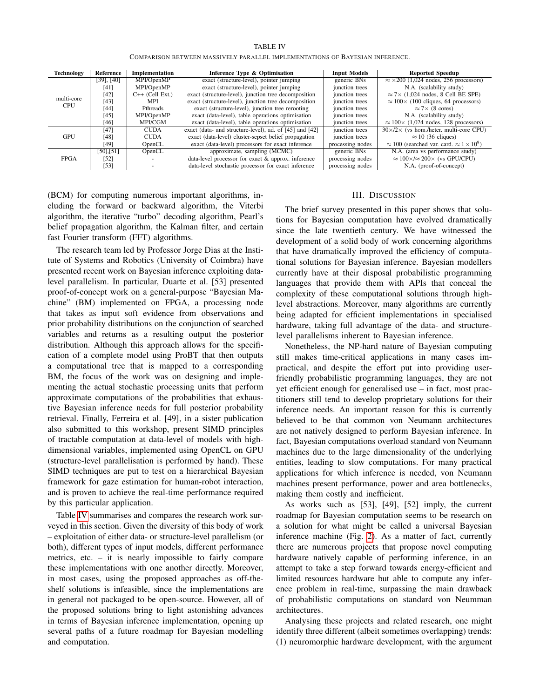#### TABLE IV

COMPARISON BETWEEN MASSIVELY PARALLEL IMPLEMENTATIONS OF BAYESIAN INFERENCE.

<span id="page-3-1"></span>

| Technology  | Reference       | Implementation<br>Inference Type & Optimisation |                                                         | <b>Input Models</b> | <b>Reported Speedup</b>                                            |
|-------------|-----------------|-------------------------------------------------|---------------------------------------------------------|---------------------|--------------------------------------------------------------------|
|             | $[39]$ , $[40]$ | MPI/OpenMP                                      | exact (structure-level), pointer jumping                | generic BNs         | $\approx$ ×200 (1,024 nodes, 256 processors)                       |
|             | [41]            | MPI/OpenMP                                      | exact (structure-level), pointer jumping                | junction trees      | N.A. (scalability study)                                           |
|             | [42]            | $C++$ (Cell Ext.)                               | exact (structure-level), junction tree decomposition    | junction trees      | $\approx$ 7 \times (1,024 nodes, 8 Cell BE SPE)                    |
| multi-core  | [43]            | MPI                                             | exact (structure-level), junction tree decomposition    | junction trees      | $\approx 100 \times (100 \text{ cliques}, 64 \text{ processors})$  |
| <b>CPU</b>  | [44]            | <b>Pthreads</b>                                 | exact (structure-level), junction tree rerooting        | iunction trees      | $\approx$ 7 $\times$ (8 cores)                                     |
|             | [45]            | MPI/OpenMP                                      | exact (data-level), table operations optimisation       | junction trees      | N.A. (scalability study)                                           |
|             | [46]            | MPI/CGM                                         | exact (data-level), table operations optimisation       | junction trees      | $\approx 100 \times (1,024 \text{ nodes}, 128 \text{ processors})$ |
|             | [47]            | <b>CUDA</b>                                     | exact (data- and structure-level), ad. of [45] and [42] | junction trees      | $30\times/2\times$ (vs hom./heter. multi-core CPU)                 |
| GPU         | [48]            | <b>CUDA</b>                                     | exact (data-level) cluster-sepset belief propagation    | junction trees      | $\approx$ 10 (36 cliques)                                          |
|             | [49]            | OpenCL                                          | exact (data-level) processors for exact inference       | processing nodes    | $\approx 100$ (searched var. card. $\approx 1 \times 10^9$ )       |
|             | $[50]$ , $[51]$ | OpenCL                                          | approximate, sampling (MCMC)                            | generic BNs         | N.A. (area vs performance study)                                   |
| <b>FPGA</b> | [52]            |                                                 | data-level processor for exact & approx. inference      | processing nodes    | $\approx 100 \times 100 \times (vs GPU/CPU)$                       |
|             | [53]            |                                                 | data-level stochastic processor for exact inference     | processing nodes    | N.A. (proof-of-concept)                                            |

(BCM) for computing numerous important algorithms, including the forward or backward algorithm, the Viterbi algorithm, the iterative "turbo" decoding algorithm, Pearl's belief propagation algorithm, the Kalman filter, and certain fast Fourier transform (FFT) algorithms.

The research team led by Professor Jorge Dias at the Institute of Systems and Robotics (University of Coimbra) have presented recent work on Bayesian inference exploiting datalevel parallelism. In particular, Duarte et al. [53] presented proof-of-concept work on a general-purpose "Bayesian Machine" (BM) implemented on FPGA, a processing node that takes as input soft evidence from observations and prior probability distributions on the conjunction of searched variables and returns as a resulting output the posterior distribution. Although this approach allows for the specification of a complete model using ProBT that then outputs a computational tree that is mapped to a corresponding BM, the focus of the work was on designing and implementing the actual stochastic processing units that perform approximate computations of the probabilities that exhaustive Bayesian inference needs for full posterior probability retrieval. Finally, Ferreira et al. [49], in a sister publication also submitted to this workshop, present SIMD principles of tractable computation at data-level of models with highdimensional variables, implemented using OpenCL on GPU (structure-level parallelisation is performed by hand). These SIMD techniques are put to test on a hierarchical Bayesian framework for gaze estimation for human-robot interaction, and is proven to achieve the real-time performance required by this particular application.

Table [IV](#page-3-1) summarises and compares the research work surveyed in this section. Given the diversity of this body of work – exploitation of either data- or structure-level parallelism (or both), different types of input models, different performance metrics, etc. – it is nearly impossible to fairly compare these implementations with one another directly. Moreover, in most cases, using the proposed approaches as off-theshelf solutions is infeasible, since the implementations are in general not packaged to be open-source. However, all of the proposed solutions bring to light astonishing advances in terms of Bayesian inference implementation, opening up several paths of a future roadmap for Bayesian modelling and computation.

## III. DISCUSSION

<span id="page-3-0"></span>The brief survey presented in this paper shows that solutions for Bayesian computation have evolved dramatically since the late twentieth century. We have witnessed the development of a solid body of work concerning algorithms that have dramatically improved the efficiency of computational solutions for Bayesian inference. Bayesian modellers currently have at their disposal probabilistic programming languages that provide them with APIs that conceal the complexity of these computational solutions through highlevel abstractions. Moreover, many algorithms are currently being adapted for efficient implementations in specialised hardware, taking full advantage of the data- and structurelevel parallelisms inherent to Bayesian inference.

Nonetheless, the NP-hard nature of Bayesian computing still makes time-critical applications in many cases impractical, and despite the effort put into providing userfriendly probabilistic programming languages, they are not yet efficient enough for generalised use – in fact, most practitioners still tend to develop proprietary solutions for their inference needs. An important reason for this is currently believed to be that common von Neumann architectures are not natively designed to perform Bayesian inference. In fact, Bayesian computations overload standard von Neumann machines due to the large dimensionality of the underlying entities, leading to slow computations. For many practical applications for which inference is needed, von Neumann machines present performance, power and area bottlenecks, making them costly and inefficient.

As works such as [53], [49], [52] imply, the current roadmap for Bayesian computation seems to be research on a solution for what might be called a universal Bayesian inference machine (Fig. [2\)](#page-4-0). As a matter of fact, currently there are numerous projects that propose novel computing hardware natively capable of performing inference, in an attempt to take a step forward towards energy-efficient and limited resources hardware but able to compute any inference problem in real-time, surpassing the main drawback of probabilistic computations on standard von Neumman architectures.

Analysing these projects and related research, one might identify three different (albeit sometimes overlapping) trends: (1) neuromorphic hardware development, with the argument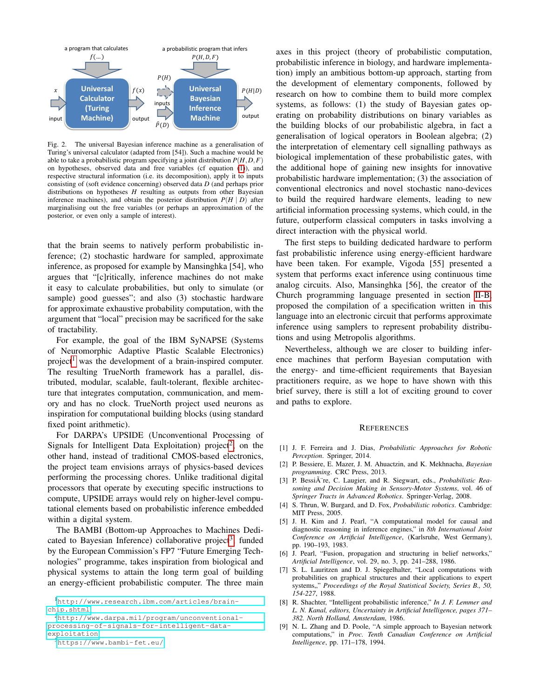

<span id="page-4-0"></span>Fig. 2. The universal Bayesian inference machine as a generalisation of Turing's universal calculator (adapted from [54]). Such a machine would be able to take a probabilistic program specifying a joint distribution  $P(H, D, F)$ on hypotheses, observed data and free variables (cf equation [\(1\)](#page-0-1)), and respective structural information (i.e. its decomposition), apply it to inputs consisting of (soft evidence concerning) observed data *D* (and perhaps prior distributions on hypotheses *H* resulting as outputs from other Bayesian inference machines), and obtain the posterior distribution  $P(H | D)$  after marginalising out the free variables (or perhaps an approximation of the posterior, or even only a sample of interest).

that the brain seems to natively perform probabilistic inference; (2) stochastic hardware for sampled, approximate inference, as proposed for example by Mansinghka [54], who argues that "[c]ritically, inference machines do not make it easy to calculate probabilities, but only to simulate (or sample) good guesses"; and also (3) stochastic hardware for approximate exhaustive probability computation, with the argument that "local" precision may be sacrificed for the sake of tractability.

For example, the goal of the IBM SyNAPSE (Systems of Neuromorphic Adaptive Plastic Scalable Electronics) project<sup>[1](#page-4-1)</sup> was the development of a brain-inspired computer. The resulting TrueNorth framework has a parallel, distributed, modular, scalable, fault-tolerant, flexible architecture that integrates computation, communication, and memory and has no clock. TrueNorth project used neurons as inspiration for computational building blocks (using standard fixed point arithmetic).

For DARPA's UPSIDE (Unconventional Processing of Signals for Intelligent Data Exploitation) project<sup>[2](#page-4-2)</sup>, on the other hand, instead of traditional CMOS-based electronics, the project team envisions arrays of physics-based devices performing the processing chores. Unlike traditional digital processors that operate by executing specific instructions to compute, UPSIDE arrays would rely on higher-level computational elements based on probabilistic inference embedded within a digital system.

The BAMBI (Bottom-up Approaches to Machines Dedi-cated to Bayesian Inference) collaborative project<sup>[3](#page-4-3)</sup>, funded by the European Commission's FP7 "Future Emerging Technologies" programme, takes inspiration from biological and physical systems to attain the long term goal of building an energy-efficient probabilistic computer. The three main

<span id="page-4-2"></span><sup>2</sup>[http://www.darpa.mil/program/unconventional](http://www.darpa.mil/program/unconventional-processing-of-signals-for-intelligent-data-exploitation)[processing-of-signals-for-intelligent-data](http://www.darpa.mil/program/unconventional-processing-of-signals-for-intelligent-data-exploitation)[exploitation](http://www.darpa.mil/program/unconventional-processing-of-signals-for-intelligent-data-exploitation)

<span id="page-4-3"></span><sup>3</sup><https://www.bambi-fet.eu/>

axes in this project (theory of probabilistic computation, probabilistic inference in biology, and hardware implementation) imply an ambitious bottom-up approach, starting from the development of elementary components, followed by research on how to combine them to build more complex systems, as follows: (1) the study of Bayesian gates operating on probability distributions on binary variables as the building blocks of our probabilistic algebra, in fact a generalisation of logical operators in Boolean algebra; (2) the interpretation of elementary cell signalling pathways as biological implementation of these probabilistic gates, with the additional hope of gaining new insights for innovative probabilistic hardware implementation; (3) the association of conventional electronics and novel stochastic nano-devices to build the required hardware elements, leading to new artificial information processing systems, which could, in the future, outperform classical computers in tasks involving a direct interaction with the physical world.

The first steps to building dedicated hardware to perform fast probabilistic inference using energy-efficient hardware have been taken. For example, Vigoda [55] presented a system that performs exact inference using continuous time analog circuits. Also, Mansinghka [56], the creator of the Church programming language presented in section [II-B,](#page-1-0) proposed the compilation of a specification written in this language into an electronic circuit that performs approximate inference using samplers to represent probability distributions and using Metropolis algorithms.

Nevertheless, although we are closer to building inference machines that perform Bayesian computation with the energy- and time-efficient requirements that Bayesian practitioners require, as we hope to have shown with this brief survey, there is still a lot of exciting ground to cover and paths to explore.

#### **REFERENCES**

- [1] J. F. Ferreira and J. Dias, *Probabilistic Approaches for Robotic Perception*. Springer, 2014.
- [2] P. Bessiere, E. Mazer, J. M. Ahuactzin, and K. Mekhnacha, *Bayesian programming*. CRC Press, 2013.
- [3] P. BessiA<sup>"</sup>re, C. Laugier, and R. Siegwart, eds., *Probabilistic Reasoning and Decision Making in Sensory-Motor Systems*, vol. 46 of *Springer Tracts in Advanced Robotics*. Springer-Verlag, 2008.
- [4] S. Thrun, W. Burgard, and D. Fox, *Probabilistic robotics*. Cambridge: MIT Press, 2005.
- [5] J. H. Kim and J. Pearl, "A computational model for causal and diagnostic reasoning in inference engines," in *8th International Joint Conference on Artificial Intelligence*, (Karlsruhe, West Germany), pp. 190–193, 1983.
- [6] J. Pearl, "Fusion, propagation and structuring in belief networks," *Artificial Intelligence*, vol. 29, no. 3, pp. 241–288, 1986.
- [7] S. L. Lauritzen and D. J. Spiegelhalter, "Local computations with probabilities on graphical structures and their applications to expert systems,," Proceedings of the Royal Statistical Society, Series B., 50, *154-227*, 1988.
- [8] R. Shachter, "Intelligent probabilistic inference," *In J. F. Lemmer and L. N. Kanal, editors, Uncertainty in Artificial Intelligence, pages 371– 382. North Holland, Amsterdam*, 1986.
- [9] N. L. Zhang and D. Poole, "A simple approach to Bayesian network computations," in *Proc. Tenth Canadian Conference on Artificial Intelligence*, pp. 171–178, 1994.

<span id="page-4-1"></span><sup>1</sup>[http://www.research.ibm.com/articles/brain](http://www.research.ibm.com/articles/brain-chip.shtml)[chip.shtml](http://www.research.ibm.com/articles/brain-chip.shtml)